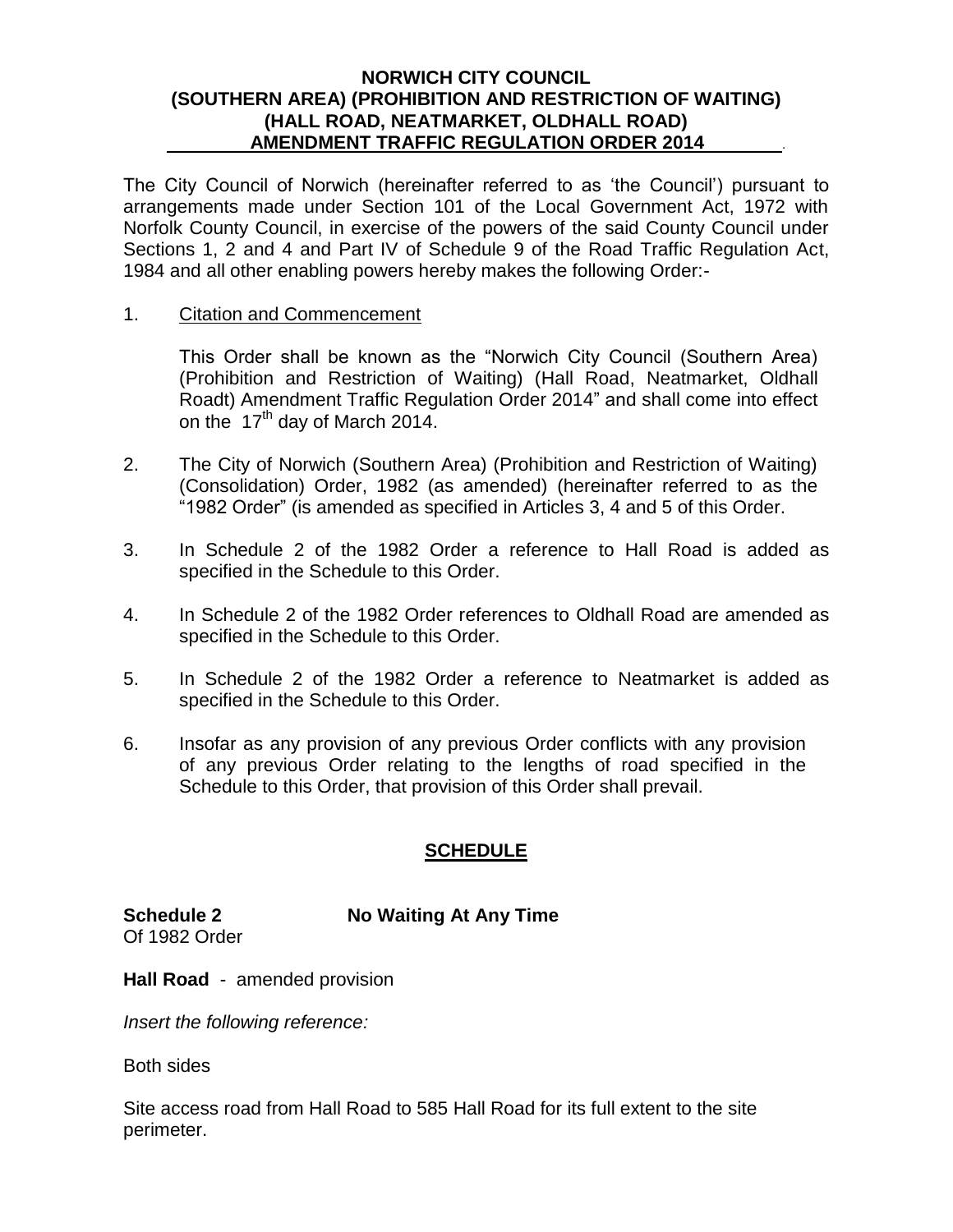### **NORWICH CITY COUNCIL (SOUTHERN AREA) (PROHIBITION AND RESTRICTION OF WAITING) (HALL ROAD, NEATMARKET, OLDHALL ROAD) AMENDMENT TRAFFIC REGULATION ORDER 2014** .

The City Council of Norwich (hereinafter referred to as 'the Council') pursuant to arrangements made under Section 101 of the Local Government Act, 1972 with Norfolk County Council, in exercise of the powers of the said County Council under Sections 1, 2 and 4 and Part IV of Schedule 9 of the Road Traffic Regulation Act, 1984 and all other enabling powers hereby makes the following Order:-

#### 1. Citation and Commencement

This Order shall be known as the "Norwich City Council (Southern Area) (Prohibition and Restriction of Waiting) (Hall Road, Neatmarket, Oldhall Roadt) Amendment Traffic Regulation Order 2014" and shall come into effect on the  $17<sup>th</sup>$  day of March 2014.

- 2. The City of Norwich (Southern Area) (Prohibition and Restriction of Waiting) (Consolidation) Order, 1982 (as amended) (hereinafter referred to as the "1982 Order" (is amended as specified in Articles 3, 4 and 5 of this Order.
- 3. In Schedule 2 of the 1982 Order a reference to Hall Road is added as specified in the Schedule to this Order.
- 4. In Schedule 2 of the 1982 Order references to Oldhall Road are amended as specified in the Schedule to this Order.
- 5. In Schedule 2 of the 1982 Order a reference to Neatmarket is added as specified in the Schedule to this Order.
- 6. Insofar as any provision of any previous Order conflicts with any provision of any previous Order relating to the lengths of road specified in the Schedule to this Order, that provision of this Order shall prevail.

# **SCHEDULE**

**Schedule 2 No Waiting At Any Time** Of 1982 Order

**Hall Road** - amended provision

*Insert the following reference:*

Both sides

Site access road from Hall Road to 585 Hall Road for its full extent to the site perimeter.